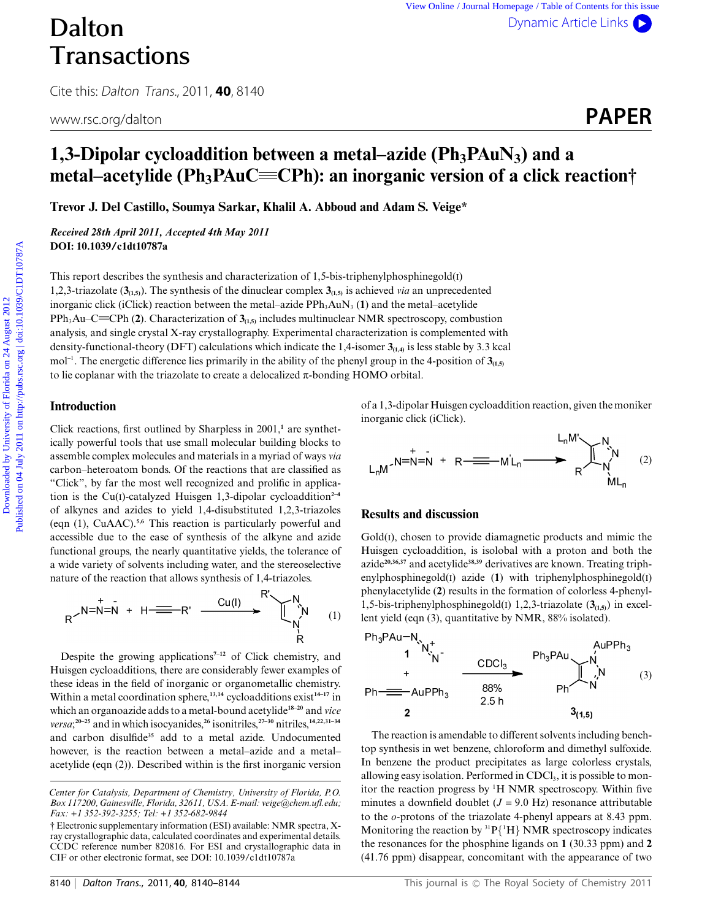# Dalton **Transactions**

Cite this: Dalton Trans., 2011, **40**, 8140

# www.rsc.org/dalton **PAPER**

# **1,3-Dipolar cycloaddition between a metal–azide (Ph<sub>3</sub>PAuN<sub>3</sub>) and a metal–acetylide (Ph<sub>3</sub>PAuC= CPh): an inorganic version of a click reaction†**

**Trevor J. Del Castillo, Soumya Sarkar, Khalil A. Abboud and Adam S. Veige\***

*Received 28th April 2011, Accepted 4th May 2011* **DOI: 10.1039/c1dt10787a**

This report describes the synthesis and characterization of 1,5-bis-triphenylphosphinegold(I) 1,2,3-triazolate (**3(1,5)**). The synthesis of the dinuclear complex **3(1,5)** is achieved *via* an unprecedented inorganic click (iClick) reaction between the metal–azide PPh<sub>3</sub>AuN<sub>3</sub> (1) and the metal–acetylide  $PPh_3Au-C = CPh (2)$ . Characterization of  $3<sub>(1,5)</sub>$  includes multinuclear NMR spectroscopy, combustion analysis, and single crystal X-ray crystallography. Experimental characterization is complemented with density-functional-theory (DFT) calculations which indicate the 1,4-isomer **3(1,4)** is less stable by 3.3 kcal mol<sup>-1</sup>. The energetic difference lies primarily in the ability of the phenyl group in the 4-position of 3<sub>(1,5)</sub> to lie coplanar with the triazolate to create a delocalized  $\pi$ -bonding HOMO orbital. **Dalton**<br> **Christian Content on 24 August 2012**<br> **Christian Content on 24 August 2012**<br> **Content on 24 August 2012**<br> **Content on 24 August 2012 Published CONSTANUS)** and a<br> **metal—acetylide (Ph<sub>3</sub>PAuC—CPh): an inorganic v** 

# **Introduction**

Click reactions, first outlined by Sharpless in 2001,**<sup>1</sup>** are synthetically powerful tools that use small molecular building blocks to assemble complex molecules and materials in a myriad of ways *via* carbon–heteroatom bonds. Of the reactions that are classified as "Click", by far the most well recognized and prolific in application is the Cu(I)-catalyzed Huisgen 1,3-dipolar cycloaddition<sup>2-4</sup> of alkynes and azides to yield 1,4-disubstituted 1,2,3-triazoles (eqn (1), CuAAC).**5,6** This reaction is particularly powerful and accessible due to the ease of synthesis of the alkyne and azide functional groups, the nearly quantitative yields, the tolerance of a wide variety of solvents including water, and the stereoselective nature of the reaction that allows synthesis of 1,4-triazoles.

$$
R^{\nearrow N = N = N + H} \xrightarrow{H} H^{\nearrow N} \xrightarrow{Cu(I)} R^N \qquad (1)
$$

Despite the growing applications**7–12** of Click chemistry, and Huisgen cycloadditions, there are considerably fewer examples of these ideas in the field of inorganic or organometallic chemistry. Within a metal coordination sphere,**13,14** cycloadditions exist**14–17** in which an organoazide adds to a metal-bound acetylide**18–20** and *vice versa*; **20–25** and in which isocyanides,**<sup>26</sup>** isonitriles,**27–30** nitriles,**14,22,31–34** and carbon disulfide**<sup>35</sup>** add to a metal azide. Undocumented however, is the reaction between a metal–azide and a metal– acetylide (eqn (2)). Described within is the first inorganic version of a 1,3-dipolar Huisgen cycloaddition reaction, given the moniker inorganic click (iClick).

(2)

# **Results and discussion**

Gold(I), chosen to provide diamagnetic products and mimic the Huisgen cycloaddition, is isolobal with a proton and both the azide**20,36,37** and acetylide**38,39** derivatives are known. Treating triphenylphosphinegold(I) azide (**1**) with triphenylphosphinegold(I) phenylacetylide (**2**) results in the formation of colorless 4-phenyl-1,5-bis-triphenylphosphinegold(I) 1,2,3-triazolate (**3(1,5)**) in excellent yield (eqn (3), quantitative by NMR, 88% isolated).

$$
Ph_{3}PAu-N_{N_{1}+} + \n 1 N_{N_{1}+} + \n 1 N_{N_{2}+} + \n 1 N_{1}+ \n 1 N_{2}+ \n 1 N_{1}+ \n 1 N_{2}+ \n 1 N_{2}+ \n 1 N_{2}+ \n 1 N_{2}+ \n 1 N_{2}+ \n 1 N_{2}+ \n 1 N_{2}+ \n 1 N_{2}+ \n 1 N_{2}+ \n 1 N_{2}+ \n 1 N_{2}+ \n 1 N_{2}+ \n 1 N_{2}+ \n 1 N_{2}+ \n 1 N_{2}+ \n 1 N_{2}+ \n 1 N_{2}+ \n 1 N_{2}+ \n 1 N_{2}+ \n 1 N_{2}+ \n 1 N_{2}+ \n 1 N_{2}+ \n 1 N_{2}+ \n 1 N_{2}+ \n 1 N_{2}+ \n 1 N_{2}+ \n 1 N_{2}+ \n 1 N_{2}+ \n 1 N_{2}+ \n 1 N_{2}+ \n 1 N_{2}+ \n 1 N_{2}+ \n 1 N_{2}+ \n 1 N_{2}+ \n 1 N_{2}+ \n 1 N_{2}+ \n 1 N_{2}+ \n 1 N_{2}+ \n 1 N_{2}+ \n 1 N_{2}+ \n 1 N_{2}+ \n 1 N_{2}+ \n 1 N_{2}+ \n 1 N_{2}+ \n 1 N_{2}+ \n 1 N_{2}+ \n 1 N_{2}+ \n 1 N_{2}+ \n 1 N_{2}+ \n 1 N_{2}+ \n 1 N_{2}+ \n 1 N_{2}+ \n 1 N_{2}+ \n 1 N_{2}+ \n 1 N_{2}+ \n 1 N_{2}+ \n 1 N_{2}+ \n 1 N_{2}+ \n 1 N_{2}+ \n 1 N_{2}+ \n 1 N_{2}+ \n 1 N_{2}+ \n 1 N_{2}+ \n 1 N_{2}+ \n 1 N_{2}+ \n 1 N_{2}+ \n 1 N_{2}+ \n 1 N_{2}+ \n 1 N_{2}+ \n 1 N_{2}+ \n 1 N_{2}+ \n 1 N_{2}+ \n 1 N_{2}+ \n 1 N_{2}+ \n 1 N_{2}+ \n 1 N_{2}+ \n 1 N_{2
$$

The reaction is amendable to different solvents including benchtop synthesis in wet benzene, chloroform and dimethyl sulfoxide. In benzene the product precipitates as large colorless crystals, allowing easy isolation. Performed in  $CDCl<sub>3</sub>$ , it is possible to monitor the reaction progress by <sup>1</sup> H NMR spectroscopy. Within five minutes a downfield doublet  $(J = 9.0 \text{ Hz})$  resonance attributable to the *o*-protons of the triazolate 4-phenyl appears at 8.43 ppm. Monitoring the reaction by  ${}^{31}P{^1H}$  NMR spectroscopy indicates the resonances for the phosphine ligands on **1** (30.33 ppm) and **2** (41.76 ppm) disappear, concomitant with the appearance of two

*Center for Catalysis, Department of Chemistry, University of Florida, P.O. Box 117200, Gainesville, Florida, 32611, USA. E-mail: veige@chem.ufl.edu; Fax: +1 352-392-3255; Tel: +1 352-682-9844*

<sup>†</sup> Electronic supplementary information (ESI) available: NMR spectra, Xray crystallographic data, calculated coordinates and experimental details. CCDC reference number 820816. For ESI and crystallographic data in CIF or other electronic format, see DOI: 10.1039/c1dt10787a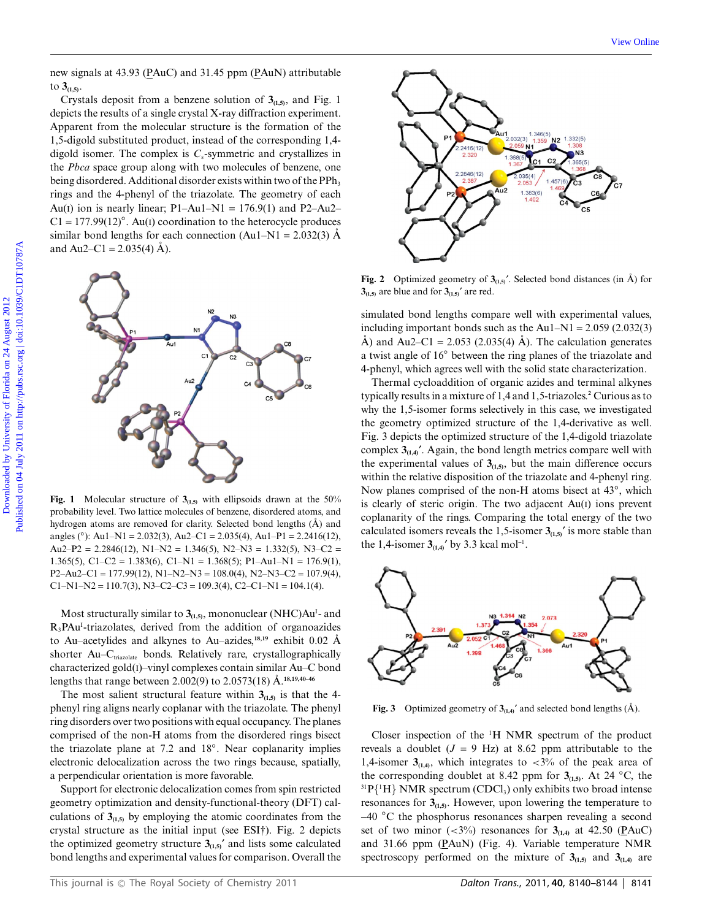new signals at 43.93 (PAuC) and 31.45 ppm (PAuN) attributable to  $3_{(1,5)}$ .

Crystals deposit from a benzene solution of  $3<sub>(1,5)</sub>$ , and Fig. 1 depicts the results of a single crystal X-ray diffraction experiment. Apparent from the molecular structure is the formation of the 1,5-digold substituted product, instead of the corresponding 1,4 digold isomer. The complex is  $C_s$ -symmetric and crystallizes in the *Pbca* space group along with two molecules of benzene, one being disordered. Additional disorder exists within two of the  $PPh<sub>3</sub>$ rings and the 4-phenyl of the triazolate. The geometry of each Au(I) ion is nearly linear;  $P1-Au1-N1 = 176.9(1)$  and  $P2-Au2-$ C1 = 177.99(12)*◦*. Au(I) coordination to the heterocycle produces similar bond lengths for each connection  $(Au1-N1 = 2.032(3)$  Å and Au2–C1 = 2.035(4)  $\AA$ ).



**Fig. 1** Molecular structure of  $3_{(1,5)}$  with ellipsoids drawn at the 50% probability level. Two lattice molecules of benzene, disordered atoms, and hydrogen atoms are removed for clarity. Selected bond lengths  $(\hat{A})$  and angles (*◦*): Au1–N1 = 2.032(3), Au2–C1 = 2.035(4), Au1–P1 = 2.2416(12), Au2–P2 = 2.2846(12), N1–N2 = 1.346(5), N2–N3 = 1.332(5), N3–C2 = 1.365(5), C1–C2 = 1.383(6), C1–N1 = 1.368(5); P1–Au1–N1 = 176.9(1),  $P2-Au2-C1 = 177.99(12), N1-N2-N3 = 108.0(4), N2-N3-C2 = 107.9(4),$  $C1-N1-N2 = 110.7(3), N3-C2-C3 = 109.3(4), C2-C1-N1 = 104.1(4).$ 

Most structurally similar to  $3<sub>(1,5)</sub>$ , mononuclear (NHC)Au<sup>1</sup>- and R<sub>3</sub>PAu<sup>1</sup>-triazolates, derived from the addition of organoazides to Au–acetylides and alkynes to Au–azides, $18,19$ <sup>e</sup> exhibit 0.02 Å shorter Au–C<sub>triazolate</sub> bonds. Relatively rare, crystallographically characterized gold(I)–vinyl complexes contain similar Au–C bond lengths that range between 2.002(9) to 2.0573(18) Å.<sup>18,19,40–46</sup>

The most salient structural feature within  $3_{(1,5)}$  is that the 4phenyl ring aligns nearly coplanar with the triazolate. The phenyl ring disorders over two positions with equal occupancy. The planes comprised of the non-H atoms from the disordered rings bisect the triazolate plane at 7.2 and 18*◦*. Near coplanarity implies electronic delocalization across the two rings because, spatially, a perpendicular orientation is more favorable.

Support for electronic delocalization comes from spin restricted geometry optimization and density-functional-theory (DFT) calculations of  $3<sub>(1,5)</sub>$  by employing the atomic coordinates from the crystal structure as the initial input (see ESI†). Fig. 2 depicts the optimized geometry structure  $3_{(1,5)}'$  and lists some calculated bond lengths and experimental values for comparison. Overall the



**Fig. 2** Optimized geometry of  $3_{(1,5)}$ . Selected bond distances (in  $\hat{A}$ ) for  $3_{(1,5)}$  are blue and for  $3_{(1,5)}$ <sup>'</sup> are red.

simulated bond lengths compare well with experimental values, including important bonds such as the Au1–N1 =  $2.059$  (2.032(3) Å) and Au2–C1 = 2.053 (2.035(4) Å). The calculation generates a twist angle of 16*◦* between the ring planes of the triazolate and 4-phenyl, which agrees well with the solid state characterization.

Thermal cycloaddition of organic azides and terminal alkynes typically results in a mixture of 1,4 and 1,5-triazoles.**<sup>2</sup>** Curious as to why the 1,5-isomer forms selectively in this case, we investigated the geometry optimized structure of the 1,4-derivative as well. Fig. 3 depicts the optimized structure of the 1,4-digold triazolate complex  $3_{(1,4)}$ <sup>'</sup>. Again, the bond length metrics compare well with the experimental values of  $3_{(1,5)}$ , but the main difference occurs within the relative disposition of the triazolate and 4-phenyl ring. Now planes comprised of the non-H atoms bisect at 43*◦*, which is clearly of steric origin. The two adjacent Au(I) ions prevent coplanarity of the rings. Comparing the total energy of the two calculated isomers reveals the 1,5-isomer  $3_{(1,5)}$ <sup>t</sup> is more stable than the 1,4-isomer  $3_{(1,4)}'$  by 3.3 kcal mol<sup>-1</sup>.



**Fig. 3** Optimized geometry of  $3_{(1,4)}'$  and selected bond lengths ( $\hat{A}$ ).

Closer inspection of the  $H$  NMR spectrum of the product reveals a doublet  $(J = 9 \text{ Hz})$  at 8.62 ppm attributable to the 1,4-isomer  $3<sub>(1,4)</sub>$ , which integrates to  $\lt 3\%$  of the peak area of the corresponding doublet at 8.42 ppm for  $3_{(1,5)}$ . At 24 °C, the  $^{31}P{^1H}$  NMR spectrum (CDCl<sub>3</sub>) only exhibits two broad intense resonances for  $3_{(1,5)}$ . However, upon lowering the temperature to -40 *◦*C the phosphorus resonances sharpen revealing a second set of two minor  $\left(\langle 3\% \rangle\right)$  resonances for  $\mathfrak{Z}_{(1,4)}$  at 42.50 (PAuC) and 31.66 ppm (PAuN) (Fig. 4). Variable temperature NMR spectroscopy performed on the mixture of  $3<sub>(1,5)</sub>$  and  $3<sub>(1,4)</sub>$  are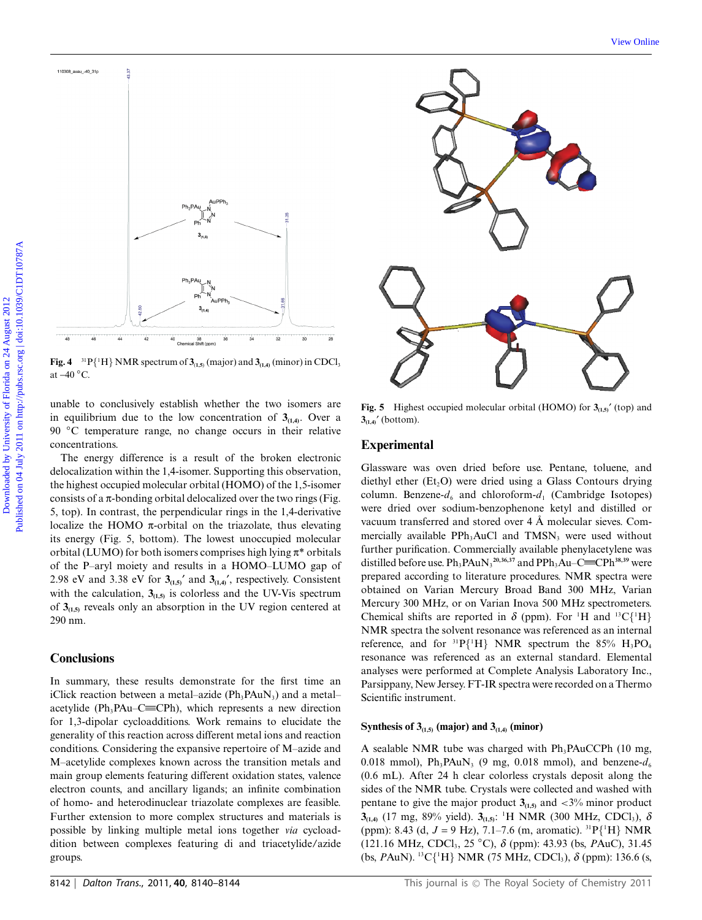

**Fig. 4** <sup>31</sup>  $P{\text{H}}$  NMR spectrum of  $\mathbf{3}_{(1,5)}$  (major) and  $\mathbf{3}_{(1,4)}$  (minor) in CDCl<sub>3</sub> at -40 *◦*C.

unable to conclusively establish whether the two isomers are in equilibrium due to the low concentration of  $3<sub>(1,4)</sub>$ . Over a 90 *◦*C temperature range, no change occurs in their relative concentrations.

The energy difference is a result of the broken electronic delocalization within the 1,4-isomer. Supporting this observation, the highest occupied molecular orbital (HOMO) of the 1,5-isomer consists of a  $\pi$ -bonding orbital delocalized over the two rings (Fig. 5, top). In contrast, the perpendicular rings in the 1,4-derivative localize the HOMO  $\pi$ -orbital on the triazolate, thus elevating its energy (Fig. 5, bottom). The lowest unoccupied molecular orbital (LUMO) for both isomers comprises high lying  $\pi^*$  orbitals of the P–aryl moiety and results in a HOMO–LUMO gap of 2.98 eV and 3.38 eV for  $3_{(1,5)}'$  and  $3_{(1,4)}'$ , respectively. Consistent with the calculation,  $3_{(1,5)}$  is colorless and the UV-Vis spectrum of  $3<sub>(1.5)</sub>$  reveals only an absorption in the UV region centered at 290 nm.

# **Conclusions**

In summary, these results demonstrate for the first time an iClick reaction between a metal–azide  $(Ph_3PAuN_3)$  and a metal– acetylide (Ph<sub>3</sub>PAu–C $\equiv$ CPh), which represents a new direction for 1,3-dipolar cycloadditions. Work remains to elucidate the generality of this reaction across different metal ions and reaction conditions. Considering the expansive repertoire of M–azide and M–acetylide complexes known across the transition metals and main group elements featuring different oxidation states, valence electron counts, and ancillary ligands; an infinite combination of homo- and heterodinuclear triazolate complexes are feasible. Further extension to more complex structures and materials is possible by linking multiple metal ions together *via* cycloaddition between complexes featuring di and triacetylide/azide groups.



**Fig. 5** Highest occupied molecular orbital (HOMO) for  $3_{(1,5)}$ <sup>'</sup> (top) and  $3_{(1,4)}'$  (bottom).

### **Experimental**

Glassware was oven dried before use. Pentane, toluene, and diethyl ether  $(Et, O)$  were dried using a Glass Contours drying column. Benzene- $d_6$  and chloroform- $d_1$  (Cambridge Isotopes) were dried over sodium-benzophenone ketyl and distilled or vacuum transferred and stored over 4 Å molecular sieves. Commercially available PPh<sub>3</sub>AuCl and TMSN<sub>3</sub> were used without further purification. Commercially available phenylacetylene was distilled before use.  $Ph_3PAuN_3^{20,36,37}$  and  $PPh_3Au-C=\nCPh^{38,39}$  were prepared according to literature procedures. NMR spectra were obtained on Varian Mercury Broad Band 300 MHz, Varian Mercury 300 MHz, or on Varian Inova 500 MHz spectrometers. Chemical shifts are reported in  $\delta$  (ppm). For <sup>1</sup>H and <sup>13</sup>C{<sup>1</sup>H} NMR spectra the solvent resonance was referenced as an internal reference, and for  ${}^{31}P{H}$  NMR spectrum the 85%  $H_3PO_4$ resonance was referenced as an external standard. Elemental analyses were performed at Complete Analysis Laboratory Inc., Parsippany, New Jersey. FT-IR spectra were recorded on a Thermo Scientific instrument.

#### **Synthesis of 3** $_{(1,5)}$  (major) and 3 $_{(1,4)}$  (minor)

A sealable NMR tube was charged with  $Ph_3PAuCCPh$  (10 mg, 0.018 mmol),  $Ph_3PAuN_3$  (9 mg, 0.018 mmol), and benzene- $d_6$ (0.6 mL). After 24 h clear colorless crystals deposit along the sides of the NMR tube. Crystals were collected and washed with pentane to give the major product  $3_{(1,5)}$  and  $\lt 3\%$  minor product  $3_{(1,4)}$  (17 mg, 89% yield).  $3_{(1,5)}$ : <sup>1</sup>H NMR (300 MHz, CDCl<sub>3</sub>),  $\delta$ (ppm): 8.43 (d, *J* = 9 Hz), 7.1–7.6 (m, aromatic). 31P{<sup>1</sup> H} NMR (121.16 MHz, CDCl3, 25 *◦*C), *d* (ppm): 43.93 (bs, *P*AuC), 31.45 (bs, *P*AuN). <sup>13</sup>C{<sup>1</sup>H} NMR (75 MHz, CDCl<sub>3</sub>), *δ* (ppm): 136.6 (s,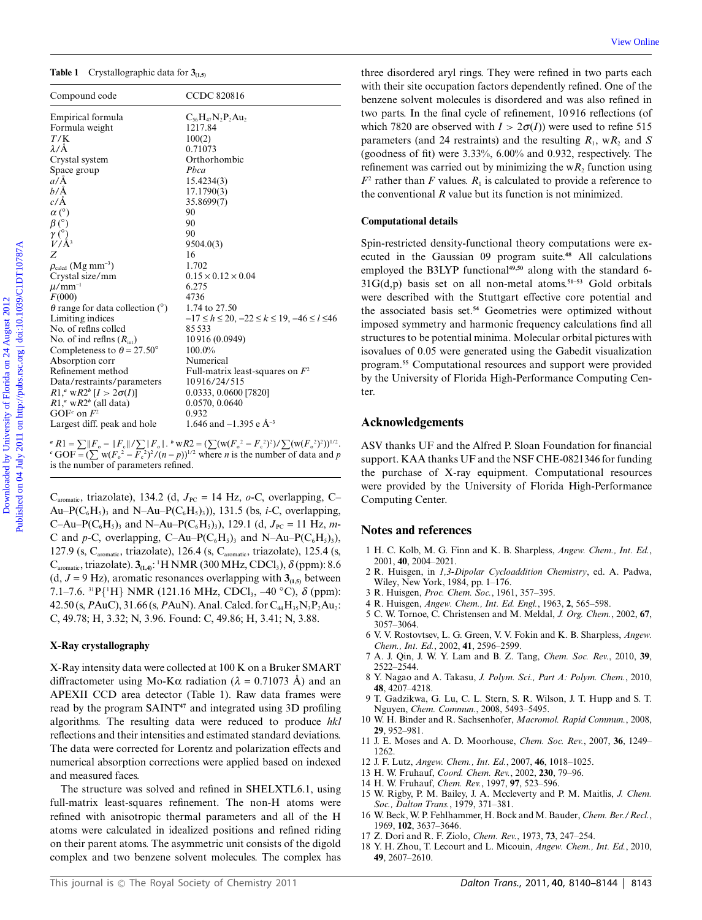#### **Table 1** Crystallographic data for **3(1,5)**

| <b>Table 1</b> Crystallographic data for $3_{(1,5)}$<br>Compound code                                                                                                                                                                                                                                                                                                                                                                                                                                                                                             | <b>CCDC 820816</b>                                                                                                                                                                                                                                                                                                                                                     | three disordered aryl rings. They were refined in two parts each<br>with their site occupation factors dependently refined. One of the<br>benzene solvent molecules is disordered and was also refined in                                                                                                                                                                                                                                                                                                                                                                                                                                                                                                                                                                                                                                       |
|-------------------------------------------------------------------------------------------------------------------------------------------------------------------------------------------------------------------------------------------------------------------------------------------------------------------------------------------------------------------------------------------------------------------------------------------------------------------------------------------------------------------------------------------------------------------|------------------------------------------------------------------------------------------------------------------------------------------------------------------------------------------------------------------------------------------------------------------------------------------------------------------------------------------------------------------------|-------------------------------------------------------------------------------------------------------------------------------------------------------------------------------------------------------------------------------------------------------------------------------------------------------------------------------------------------------------------------------------------------------------------------------------------------------------------------------------------------------------------------------------------------------------------------------------------------------------------------------------------------------------------------------------------------------------------------------------------------------------------------------------------------------------------------------------------------|
| Empirical formula<br>Formula weight<br>T/K<br>$\lambda/\text{\AA}$<br>Crystal system                                                                                                                                                                                                                                                                                                                                                                                                                                                                              | $C_{56}H_{47}N_2P_2Au_2$<br>1217.84<br>100(2)<br>0.71073<br>Orthorhombic                                                                                                                                                                                                                                                                                               | two parts. In the final cycle of refinement, 10916 reflections (of<br>which 7820 are observed with $I > 2\sigma(I)$ were used to refine 515<br>parameters (and 24 restraints) and the resulting $R_1$ , w $R_2$ and S<br>(goodness of fit) were $3.33\%$ , $6.00\%$ and 0.932, respectively. The<br>refinement was carried out by minimizing the $wR_2$ function using<br>$F2$ rather than F values. $R1$ is calculated to provide a reference to<br>the conventional $R$ value but its function is not minimized.                                                                                                                                                                                                                                                                                                                              |
| Space group<br>$a/\AA$<br>$b/\AA$<br>$c/\text{\AA}$                                                                                                                                                                                                                                                                                                                                                                                                                                                                                                               | Pbca<br>15.4234(3)<br>17.1790(3)<br>35.8699(7)                                                                                                                                                                                                                                                                                                                         |                                                                                                                                                                                                                                                                                                                                                                                                                                                                                                                                                                                                                                                                                                                                                                                                                                                 |
| $\alpha$ (°)<br>$\beta$ (°)                                                                                                                                                                                                                                                                                                                                                                                                                                                                                                                                       | 90<br>90                                                                                                                                                                                                                                                                                                                                                               | <b>Computational details</b>                                                                                                                                                                                                                                                                                                                                                                                                                                                                                                                                                                                                                                                                                                                                                                                                                    |
| $\gamma$ <sup>(°</sup> ) <sub><math>V/A</math><sup>3</sup></sub><br>Z<br>$\rho_{\text{calcd}}$ (Mg mm <sup>-3</sup> )<br>Crystal size/mm<br>$\mu$ /mm <sup>-1</sup><br>F(000)<br>$\theta$ range for data collection (°)<br>Limiting indices<br>No. of refins colled<br>No. of ind reflns $(R_{\text{int}})$<br>Completeness to $\theta = 27.50^{\circ}$<br>Absorption corr<br>Refinement method<br>Data/restraints/parameters<br>$R1,^a$ w $R2^b$ [ $I > 2\sigma(I)$ ]<br>$R1$ ," w $R2^b$ (all data)<br>GOF <sup>c</sup> on $F^2$<br>Largest diff. peak and hole | 90<br>9504.0(3)<br>16<br>1.702<br>$0.15 \times 0.12 \times 0.04$<br>6.275<br>4736<br>1.74 to 27.50<br>$-17 \le h \le 20$ , $-22 \le k \le 19$ , $-46 \le l \le 46$<br>85533<br>10916 (0.0949)<br>100.0%<br>Numerical<br>Full-matrix least-squares on $F^2$<br>10916/24/515<br>0.0333, 0.0600 [7820]<br>0.0570, 0.0640<br>0.932<br>1.646 and $-1.395$ e Å <sup>-3</sup> | Spin-restricted density-functional theory computations were ex-<br>ecuted in the Gaussian 09 program suite. <sup>48</sup> All calculations<br>employed the B3LYP functional <sup>49,50</sup> along with the standard 6-<br>$31G(d,p)$ basis set on all non-metal atoms. <sup>51-53</sup> Gold orbitals<br>were described with the Stuttgart effective core potential and<br>the associated basis set. <sup>54</sup> Geometries were optimized without<br>imposed symmetry and harmonic frequency calculations find all<br>structures to be potential minima. Molecular orbital pictures with<br>isovalues of 0.05 were generated using the Gabedit visualization<br>program. <sup>55</sup> Computational resources and support were provided<br>by the University of Florida High-Performance Computing Cen-<br>ter.<br><b>Acknowledgements</b> |
| $R_1 = \sum   F_{0} -  F_{c}   / \sum  F_{0} $ . $W_{0}R_2 = (\sum (w(F_{0}^{2} - F_{c}^{2})^{2}) / \sum (w(F_{0}^{2})^{2}))^{1/2}$ .<br>$\overline{C}$ GOF = $(\sum w(F_0^2 - \overline{F}_c^2)^2/(n-p))^{1/2}$ where <i>n</i> is the number of data and <i>p</i><br>is the number of parameters refined.<br>C <sub>aromatic</sub> , triazolate), 134.2 (d, $J_{\text{PC}} = 14$ Hz, $o$ -C, overlapping, C-                                                                                                                                                     |                                                                                                                                                                                                                                                                                                                                                                        | ASV thanks UF and the Alfred P. Sloan Foundation for financial<br>support. KAA thanks UF and the NSF CHE-0821346 for funding<br>the purchase of X-ray equipment. Computational resources<br>were provided by the University of Florida High-Performance<br>Computing Center.                                                                                                                                                                                                                                                                                                                                                                                                                                                                                                                                                                    |
| Au–P( $C_6H_5$ ), and N–Au–P( $C_6H_5$ ),)), 131.5 (bs, <i>i</i> -C, overlapping,<br>C-Au-P(C <sub>6</sub> H <sub>5</sub> ) <sub>3</sub> and N-Au-P(C <sub>6</sub> H <sub>5</sub> ) <sub>3</sub> ), 129.1 (d, $J_{PC} = 11$ Hz, m-                                                                                                                                                                                                                                                                                                                                |                                                                                                                                                                                                                                                                                                                                                                        | Notes and references                                                                                                                                                                                                                                                                                                                                                                                                                                                                                                                                                                                                                                                                                                                                                                                                                            |

C<sub>aromatic</sub>, triazolate), 134.2 (d,  $J_{PC} = 14$  Hz,  $o$ -C, overlapping, C-Au–P( $C_6H_5$ )<sub>3</sub> and N–Au–P( $C_6H_5$ )<sub>3</sub>)), 131.5 (bs, *i*-C, overlapping, C–Au–P(C<sub>6</sub>H<sub>5</sub>)<sub>3</sub> and N–Au–P(C<sub>6</sub>H<sub>5</sub>)<sub>3</sub>), 129.1 (d,  $J_{PC} = 11$  Hz, *m*-C and *p*-C, overlapping, C–Au–P( $C_6H_5$ )<sub>3</sub> and N–Au–P( $C_6H_5$ )<sub>3</sub>), 127.9 (s, C<sub>aromatic</sub>, triazolate), 126.4 (s, C<sub>aromatic</sub>, triazolate), 125.4 (s,  $\text{C}_{\text{aromatic}}$ , triazolate).  $\mathbf{3}_{(\mathbf{1},\mathbf{4})}$ : <sup>1</sup>H NMR (300 MHz, CDCl<sub>3</sub>),  $\delta$  (ppm): 8.6  $(d, J = 9 \text{ Hz})$ , aromatic resonances overlapping with  $3_{(1,5)}$  between 7.1–7.6. 31P{<sup>1</sup> H} NMR (121.16 MHz, CDCl3, -40 *◦*C), *d* (ppm): 42.50 (s, *P*AuC), 31.66 (s, *PAuN*). Anal. Calcd. for C<sub>44</sub>H<sub>35</sub>N<sub>3</sub>P<sub>2</sub>Au<sub>2</sub>: C, 49.78; H, 3.32; N, 3.96. Found: C, 49.86; H, 3.41; N, 3.88.

#### **X-Ray crystallography**

X-Ray intensity data were collected at 100 K on a Bruker SMART diffractometer using Mo-K $\alpha$  radiation ( $\lambda = 0.71073$  Å) and an APEXII CCD area detector (Table 1). Raw data frames were read by the program SAINT**<sup>47</sup>** and integrated using 3D profiling algorithms. The resulting data were reduced to produce *hkl* reflections and their intensities and estimated standard deviations. The data were corrected for Lorentz and polarization effects and numerical absorption corrections were applied based on indexed and measured faces.

The structure was solved and refined in SHELXTL6.1, using full-matrix least-squares refinement. The non-H atoms were refined with anisotropic thermal parameters and all of the H atoms were calculated in idealized positions and refined riding on their parent atoms. The asymmetric unit consists of the digold complex and two benzene solvent molecules. The complex has

#### **Computational details**

#### **Acknowledgements**

#### **Notes and references**

- 1 H. C. Kolb, M. G. Finn and K. B. Sharpless, *Angew. Chem., Int. Ed.*, 2001, **40**, 2004–2021.
- 2 R. Huisgen, in *1,3-Dipolar Cycloaddition Chemistry*, ed. A. Padwa, Wiley, New York, 1984, pp. 1–176.
- 3 R. Huisgen, *Proc. Chem. Soc.*, 1961, 357–395.
- 4 R. Huisgen, *Angew. Chem., Int. Ed. Engl.*, 1963, **2**, 565–598.
- 5 C. W. Tornoe, C. Christensen and M. Meldal, *J. Org. Chem.*, 2002, **67**, 3057–3064.
- 6 V. V. Rostovtsev, L. G. Green, V. V. Fokin and K. B. Sharpless, *Angew. Chem., Int. Ed.*, 2002, **41**, 2596–2599.
- 7 A. J. Qin, J. W. Y. Lam and B. Z. Tang, *Chem. Soc. Rev.*, 2010, **39**, 2522–2544.
- 8 Y. Nagao and A. Takasu, *J. Polym. Sci., Part A: Polym. Chem.*, 2010, **48**, 4207–4218.
- 9 T. Gadzikwa, G. Lu, C. L. Stern, S. R. Wilson, J. T. Hupp and S. T. Nguyen, *Chem. Commun.*, 2008, 5493–5495.
- 10 W. H. Binder and R. Sachsenhofer, *Macromol. Rapid Commun.*, 2008, **29**, 952–981.
- 11 J. E. Moses and A. D. Moorhouse, *Chem. Soc. Rev.*, 2007, **36**, 1249– 1262.
- 12 J. F. Lutz, *Angew. Chem., Int. Ed.*, 2007, **46**, 1018–1025.
- 13 H. W. Fruhauf, *Coord. Chem. Rev.*, 2002, **230**, 79–96.
- 14 H. W. Fruhauf, *Chem. Rev.*, 1997, **97**, 523–596.
- 15 W. Rigby, P. M. Bailey, J. A. Mccleverty and P. M. Maitlis, *J. Chem. Soc., Dalton Trans.*, 1979, 371–381.
- 16 W. Beck, W. P. Fehlhammer, H. Bock and M. Bauder, *Chem. Ber./Recl.*, 1969, **102**, 3637–3646.
- 17 Z. Dori and R. F. Ziolo, *Chem. Rev.*, 1973, **73**, 247–254.
- 18 Y. H. Zhou, T. Lecourt and L. Micouin, *Angew. Chem., Int. Ed.*, 2010, **49**, 2607–2610.